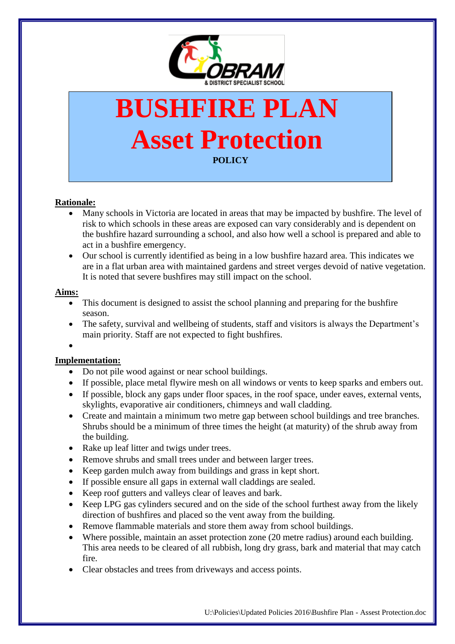

# **BUSHFIRE PLAN Asset Protection POLICY**

## **Rationale:**

- Many schools in Victoria are located in areas that may be impacted by bushfire. The level of risk to which schools in these areas are exposed can vary considerably and is dependent on the bushfire hazard surrounding a school, and also how well a school is prepared and able to act in a bushfire emergency.
- Our school is currently identified as being in a low bushfire hazard area. This indicates we are in a flat urban area with maintained gardens and street verges devoid of native vegetation. It is noted that severe bushfires may still impact on the school.

### **Aims:**

- This document is designed to assist the school planning and preparing for the bushfire season.
- The safety, survival and wellbeing of students, staff and visitors is always the Department's main priority. Staff are not expected to fight bushfires.
- $\bullet$

## **Implementation:**

- Do not pile wood against or near school buildings.
- If possible, place metal flywire mesh on all windows or vents to keep sparks and embers out.
- If possible, block any gaps under floor spaces, in the roof space, under eaves, external vents, skylights, evaporative air conditioners, chimneys and wall cladding.
- Create and maintain a minimum two metre gap between school buildings and tree branches. Shrubs should be a minimum of three times the height (at maturity) of the shrub away from the building.
- Rake up leaf litter and twigs under trees.
- Remove shrubs and small trees under and between larger trees.
- Keep garden mulch away from buildings and grass in kept short.
- If possible ensure all gaps in external wall claddings are sealed.
- Keep roof gutters and valleys clear of leaves and bark.
- Keep LPG gas cylinders secured and on the side of the school furthest away from the likely direction of bushfires and placed so the vent away from the building.
- Remove flammable materials and store them away from school buildings.
- Where possible, maintain an asset protection zone (20 metre radius) around each building. This area needs to be cleared of all rubbish, long dry grass, bark and material that may catch fire.
- Clear obstacles and trees from driveways and access points.